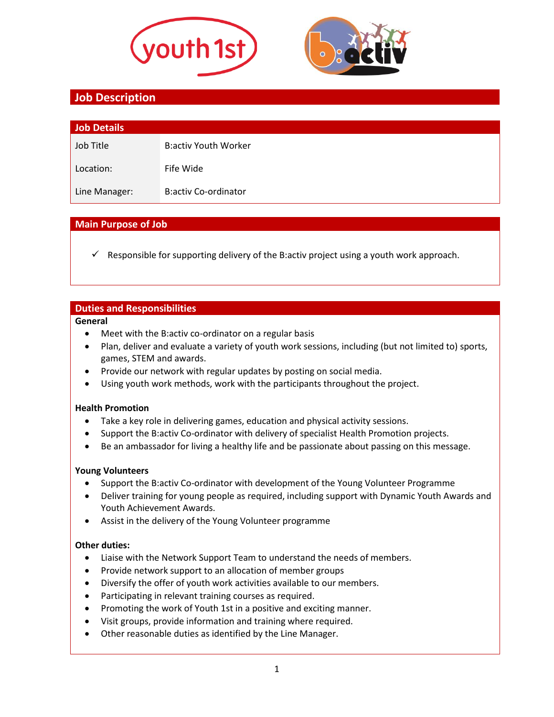



# **Job Description**

| Job Details   |                             |
|---------------|-----------------------------|
| Job Title     | <b>B:activ Youth Worker</b> |
| Location:     | Fife Wide                   |
| Line Manager: | <b>B:activ Co-ordinator</b> |

### **Main Purpose of Job**

Responsible for supporting delivery of the B:activ project using a youth work approach.

### **Duties and Responsibilities**

#### **General**

- Meet with the B:activ co-ordinator on a regular basis
- Plan, deliver and evaluate a variety of youth work sessions, including (but not limited to) sports, games, STEM and awards.
- Provide our network with regular updates by posting on social media.
- Using youth work methods, work with the participants throughout the project.

#### **Health Promotion**

- Take a key role in delivering games, education and physical activity sessions.
- Support the B:activ Co-ordinator with delivery of specialist Health Promotion projects.
- Be an ambassador for living a healthy life and be passionate about passing on this message.

#### **Young Volunteers**

- Support the B:activ Co-ordinator with development of the Young Volunteer Programme
- Deliver training for young people as required, including support with Dynamic Youth Awards and Youth Achievement Awards.
- Assist in the delivery of the Young Volunteer programme

#### **Other duties:**

- Liaise with the Network Support Team to understand the needs of members.
- Provide network support to an allocation of member groups
- Diversify the offer of youth work activities available to our members.
- Participating in relevant training courses as required.
- Promoting the work of Youth 1st in a positive and exciting manner.
- Visit groups, provide information and training where required.
- Other reasonable duties as identified by the Line Manager.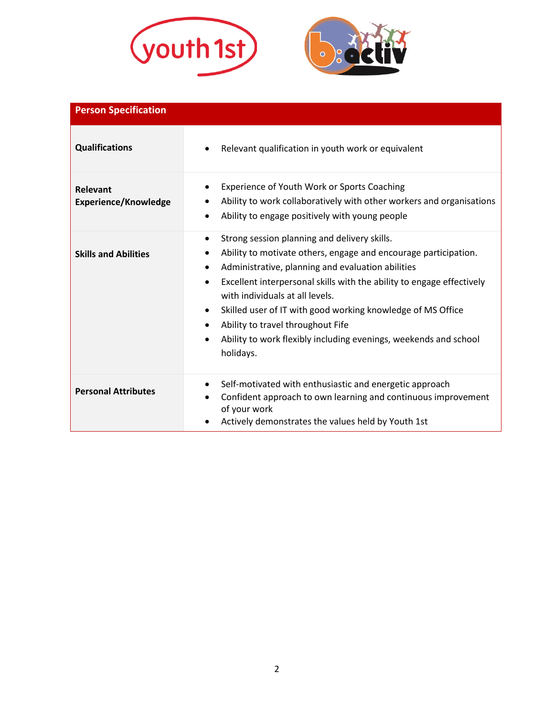



| <b>Person Specification</b>             |                                                                                                                                                                                                                                                                                                                                                                                                                                                                            |  |
|-----------------------------------------|----------------------------------------------------------------------------------------------------------------------------------------------------------------------------------------------------------------------------------------------------------------------------------------------------------------------------------------------------------------------------------------------------------------------------------------------------------------------------|--|
| <b>Qualifications</b>                   | Relevant qualification in youth work or equivalent                                                                                                                                                                                                                                                                                                                                                                                                                         |  |
| Relevant<br><b>Experience/Knowledge</b> | Experience of Youth Work or Sports Coaching<br>Ability to work collaboratively with other workers and organisations<br>Ability to engage positively with young people                                                                                                                                                                                                                                                                                                      |  |
| <b>Skills and Abilities</b>             | Strong session planning and delivery skills.<br>٠<br>Ability to motivate others, engage and encourage participation.<br>Administrative, planning and evaluation abilities<br>Excellent interpersonal skills with the ability to engage effectively<br>with individuals at all levels.<br>Skilled user of IT with good working knowledge of MS Office<br>Ability to travel throughout Fife<br>Ability to work flexibly including evenings, weekends and school<br>holidays. |  |
| <b>Personal Attributes</b>              | Self-motivated with enthusiastic and energetic approach<br>Confident approach to own learning and continuous improvement<br>of your work<br>Actively demonstrates the values held by Youth 1st                                                                                                                                                                                                                                                                             |  |